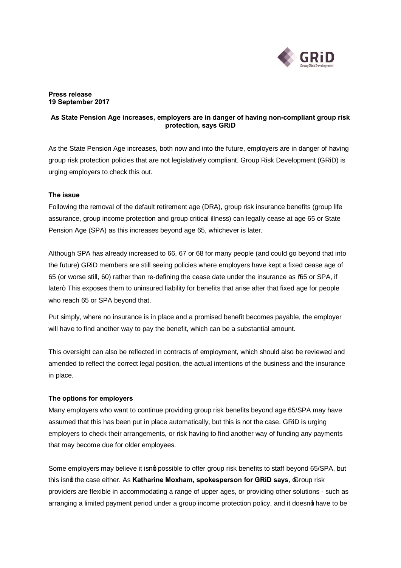

### **Press release 19 September 2017**

# **As State Pension Age increases, employers are in danger of having non-compliant group risk protection, says GRiD**

As the State Pension Age increases, both now and into the future, employers are in danger of having group risk protection policies that are not legislatively compliant. Group Risk Development (GRiD) is urging employers to check this out.

## **The issue**

Following the removal of the default retirement age (DRA), group risk insurance benefits (group life assurance, group income protection and group critical illness) can legally cease at age 65 or State Pension Age (SPA) as this increases beyond age 65, whichever is later.

Although SPA has already increased to 66, 67 or 68 for many people (and could go beyond that into the future) GRiD members are still seeing policies where employers have kept a fixed cease age of 65 (or worse still, 60) rather than re-defining the cease date under the insurance as "65 or SPA, if later+ This exposes them to uninsured liability for benefits that arise after that fixed age for people who reach 65 or SPA beyond that.

Put simply, where no insurance is in place and a promised benefit becomes payable, the employer will have to find another way to pay the benefit, which can be a substantial amount.

This oversight can also be reflected in contracts of employment, which should also be reviewed and amended to reflect the correct legal position, the actual intentions of the business and the insurance in place.

## **The options for employers**

Many employers who want to continue providing group risk benefits beyond age 65/SPA may have assumed that this has been put in place automatically, but this is not the case. GRiD is urging employers to check their arrangements, or risk having to find another way of funding any payments that may become due for older employees.

Some employers may believe it isnq possible to offer group risk benefits to staff beyond 65/SPA, but this isnd the case either. As Katharine Moxham, spokesperson for GRiD says,  $\triangle$  foup risk providers are flexible in accommodating a range of upper ages, or providing other solutions - such as arranging a limited payment period under a group income protection policy, and it doesnot have to be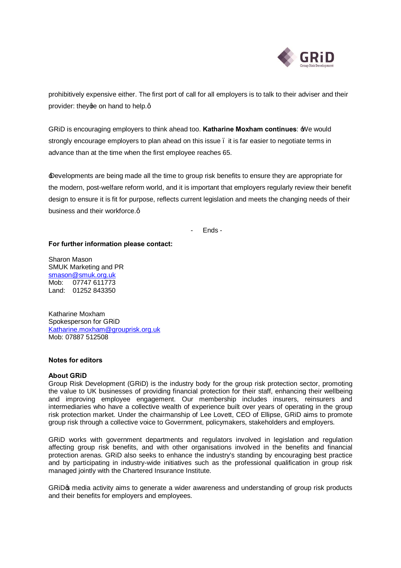

prohibitively expensive either. The first port of call for all employers is to talk to their adviser and their provider: they ge on hand to help.g

GRiD is encouraging employers to think ahead too. **Katharine Moxham continues**: 'We would strongly encourage employers to plan ahead on this issue – it is far easier to negotiate terms in advance than at the time when the first employee reaches 65.

'Developments are being made all the time to group risk benefits to ensure they are appropriate for the modern, post-welfare reform world, and it is important that employers regularly review their benefit design to ensure it is fit for purpose, reflects current legislation and meets the changing needs of their business and their workforce.q

- Ends -

#### **For further information please contact:**

Sharon Mason SMUK Marketing and PR [smason@smuk.org.uk](mailto:smason@smuk.org.uk) Mob: 07747 611773 Land: 01252 843350

Katharine Moxham Spokesperson for GRiD [Katharine.moxham@grouprisk.org.uk](mailto:Katharine.moxham@grouprisk.org.uk) Mob: 07887 512508

#### **Notes for editors**

### **About GRiD**

Group Risk Development (GRiD) is the industry body for the group risk protection sector, promoting the value to UK businesses of providing financial protection for their staff, enhancing their wellbeing and improving employee engagement. Our membership includes insurers, reinsurers and intermediaries who have a collective wealth of experience built over years of operating in the group risk protection market. Under the chairmanship of Lee Lovett, CEO of Ellipse, GRiD aims to promote group risk through a collective voice to Government, policymakers, stakeholders and employers.

GRiD works with government departments and regulators involved in legislation and regulation affecting group risk benefits, and with other organisations involved in the benefits and financial protection arenas. GRiD also seeks to enhance the industry's standing by encouraging best practice and by participating in industry-wide initiatives such as the professional qualification in group risk managed jointly with the Chartered Insurance Institute.

GRIDG media activity aims to generate a wider awareness and understanding of group risk products and their benefits for employers and employees.